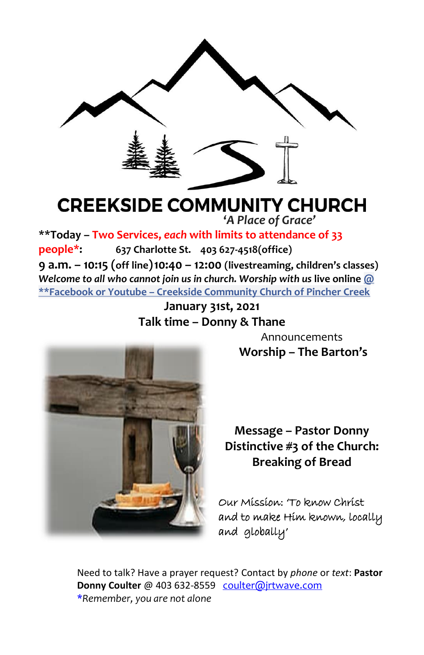

# **CREEKSIDE COMMUNITY CHURCH '***A Place of Grace'*

**\*\*Today – Two Services,** *each* **with limits to attendance of 33 people\*: 637 Charlotte St. 403 627-4518(office) 9 a.m. – 10:15 (off line)10:40 – 12:00 (livestreaming, children's classes)** *Welcome to all who cannot join us in church. Worship with us* **live online @ \*\*Facebook or Youtube – Creekside Community Church of Pincher Creek**

> **January 31st, 2021 Talk time – Donny & Thane**



Announcements **Worship – The Barton's**

**Message – Pastor Donny Distinctive #3 of the Church: Breaking of Bread**

Our Mission: 'To know Christ and to make Him known, locally and globally'

Need to talk? Have a prayer request? Contact by *phone* or *text*: **Pastor Donny Coulter** @ 403 632-8559 [coulter@jrtwave.com](mailto:coulter@jrtwave.com)  \**Remember, you are not alone*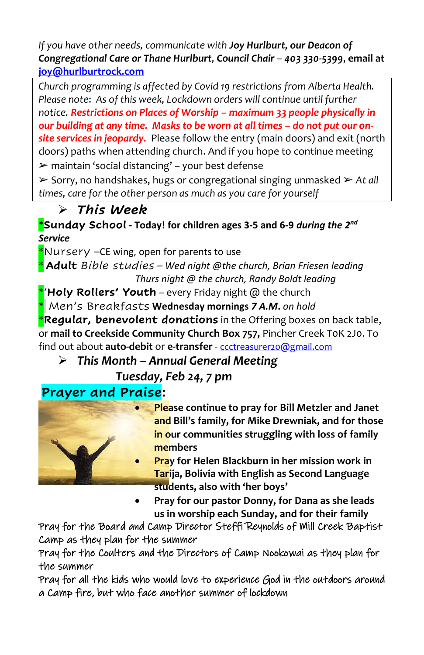*If you have other needs, communicate with Joy Hurlburt, our Deacon of Congregational Care or Thane Hurlburt, Council Chair – 403 330-5399*, **email at [joy@hurlburtrock.com](mailto:joy@hurlburtrock.com)**

*Church programming is affected by Covid 19 restrictions from Alberta Health. Please note*: *As of this week, Lockdown orders will continue until further notice. Restrictions on Places of Worship – maximum 33 people physically in*  our building at any *time. Masks to be worn at all times – do not put our onsite services in jeopardy.* Please follow the entry (main doors) and exit (north doors) paths when attending church. And if you hope to continue meeting  $\triangleright$  maintain 'social distancing' – your best defense

➢ Sorry, no handshakes, hugs or congregational singing unmasked ➢ *At all times, care for the other person as much as you care for yourself*

# ➢ *This Week*

\***Sunday School - Today! for children ages 3-5 and 6-9** *during the 2 nd Service*

\*Nursery –CE wing, open for parents to use

\* **Adult** *Bible studies – Wed night @the church, Brian Friesen leading Thurs night @ the church, Randy Boldt leading*

\*'**Holy Rollers' Youth** *–* every Friday night @ the church \* Men's Breakfasts **Wednesday mornings** *7 A.M***.** *on hold* \***Regular, benevolent donations** in the Offering boxes on back table, or **mail to Creekside Community Church Box 757,** Pincher Creek T0K 2J0. To find out about **auto-debit** or **e-transfer** - [ccctreasurer20@gmail.com](mailto:ccctreasurer20@gmail.com)

➢ *This Month – Annual General Meeting* 

*Tuesday, Feb 24, 7 pm*

# **Prayer and Praise:**



- **Please continue to pray for Bill Metzler and Janet and Bill's family, for Mike Drewniak, and for those in our communities struggling with loss of family members**
- **Pray for Helen Blackburn in her mission work in Tarija, Bolivia with English as Second Language students, also with 'her boys'**
- **Pray for our pastor Donny, for Dana as she leads us in worship each Sunday, and for their family**

Pray for the Board and Camp Director Steffi Reynolds of Mill Creek Baptist Camp as they plan for the summer

Pray for the Coulters and the Directors of Camp Nookowai as they plan for the summer

Pray for all the kids who would love to experience God in the outdoors around a Camp fire, but who face another summer of lockdown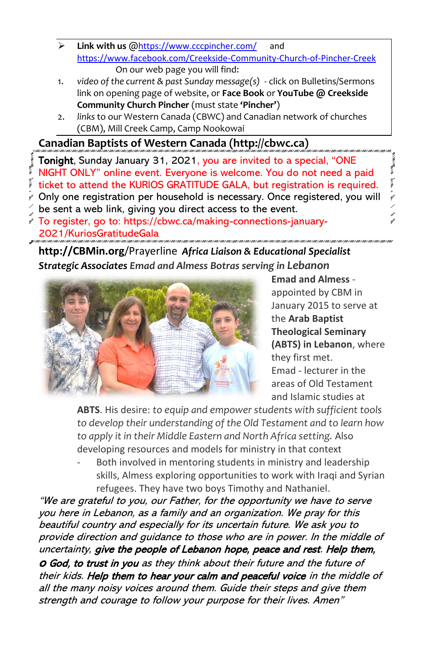- ➢ **Link with us** @<https://www.cccpincher.com/> and <https://www.facebook.com/Creekside-Community-Church-of-Pincher-Creek> On our web page you will find:
- 1. *video of the current & past Sunday message(s)* click on Bulletins/Sermons link on opening page of website, or **Face Book** or **YouTube @ Creekside Community Church Pincher** (must state **'Pincher'**)
- 2. *links* to our Western Canada (CBWC) and Canadian network of churches (CBM), Mill Creek Camp, Camp Nookowai

# **Canadian Baptists of Western Canada (http://cbwc.ca)**

- Tonight, Sunday January 31, 2021, you are invited to a special, "ONE NIGHT ONLY" online event. Everyone is welcome. You do not need a paid  $\tilde{i}$  ticket to attend the KURIOS GRATITUDE GALA, but registration is required.
- Only one registration per household is necessary. Once registered, you will
- be sent a web link, giving you direct access to the event.
- To register, go to: https://cbwc.ca/making-connections-january-2021/KuriosGratitudeGala

**http://CBMin.org**/Prayerline *Africa Liaison & Educational Specialist Strategic Associates Emad and Almess Botras serving in Lebanon*



**Emad and Almess** appointed by CBM in January 2015 to serve at the **Arab Baptist Theological Seminary (ABTS) in Lebanon**, where they first met. Emad - lecturer in the areas of Old Testament and Islamic studies at

**All Advanced** 

**ABTS**. His desire: *to equip and empower students with sufficient tools to develop their understanding of the Old Testament and to learn how to apply it in their Middle Eastern and North Africa setting.* Also developing resources and models for ministry in that context

Both involved in mentoring students in ministry and leadership skills, Almess exploring opportunities to work with Iraqi and Syrian refugees. They have two boys Timothy and Nathaniel.

"We are grateful to you, our Father, for the opportunity we have to serve you here in Lebanon, as a family and an organization. We pray for this beautiful country and especially for its uncertain future. We ask you to provide direction and guidance to those who are in power. In the middle of uncertainty, give the people of Lebanon hope, peace and rest. Help them, <sup>o</sup> God, to trust in you as they think about their future and the future of their kids. Help them to hear your calm and peaceful voice in the middle of all the many noisy voices around them. Guide their steps and give them strength and courage to follow your purpose for their lives. Amen"